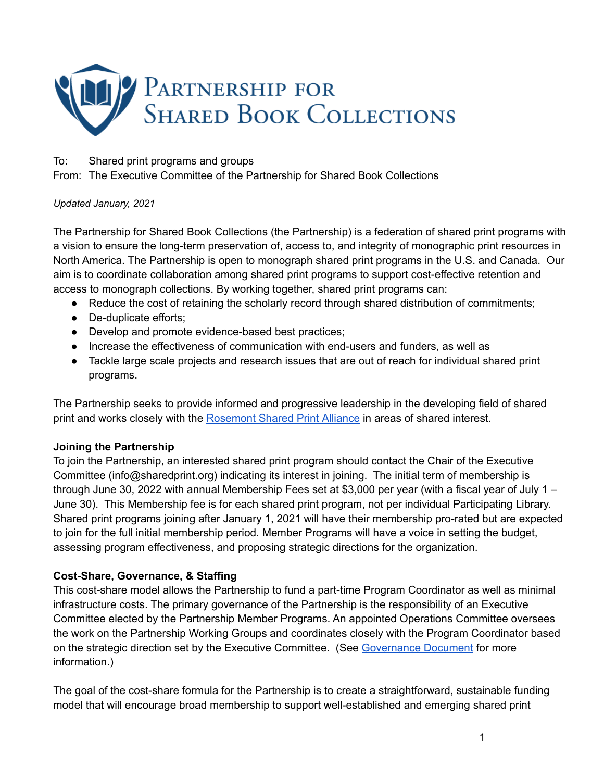

#### To: Shared print programs and groups

From: The Executive Committee of the Partnership for Shared Book Collections

#### *Updated January, 2021*

The Partnership for Shared Book Collections (the Partnership) is a federation of shared print programs with a vision to ensure the long-term preservation of, access to, and integrity of monographic print resources in North America. The Partnership is open to monograph shared print programs in the U.S. and Canada. Our aim is to coordinate collaboration among shared print programs to support cost-effective retention and access to monograph collections. By working together, shared print programs can:

- Reduce the cost of retaining the scholarly record through shared distribution of commitments;
- De-duplicate efforts;
- Develop and promote evidence-based best practices;
- Increase the effectiveness of communication with end-users and funders, as well as
- Tackle large scale projects and research issues that are out of reach for individual shared print programs.

The Partnership seeks to provide informed and progressive leadership in the developing field of shared print and works closely with the [Rosemont](https://www.rosemontsharedprintalliance.org/) Shared Print Alliance in areas of shared interest.

## **Joining the Partnership**

To join the Partnership, an interested shared print program should contact the Chair of the Executive Committee (info@sharedprint.org) indicating its interest in joining. The initial term of membership is through June 30, 2022 with annual Membership Fees set at \$3,000 per year (with a fiscal year of July 1 – June 30). This Membership fee is for each shared print program, not per individual Participating Library. Shared print programs joining after January 1, 2021 will have their membership pro-rated but are expected to join for the full initial membership period. Member Programs will have a voice in setting the budget, assessing program effectiveness, and proposing strategic directions for the organization.

## **Cost-Share, Governance, & Staffing**

This cost-share model allows the Partnership to fund a part-time Program Coordinator as well as minimal infrastructure costs. The primary governance of the Partnership is the responsibility of an Executive Committee elected by the Partnership Member Programs. An appointed Operations Committee oversees the work on the Partnership Working Groups and coordinates closely with the Program Coordinator based on the strategic direction set by the Executive Committee. (See [Governance](https://sharedprint.org/wp-content/uploads/PartnershipforSharedBookCollectionsGovernance.pdf) Document for more information.)

The goal of the cost-share formula for the Partnership is to create a straightforward, sustainable funding model that will encourage broad membership to support well-established and emerging shared print